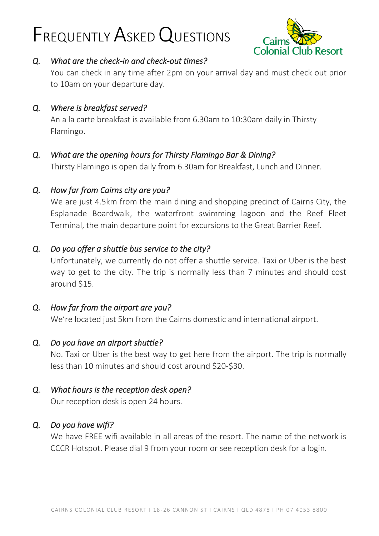# FREQUENTLY ASKED QUESTIONS



## *Q. What are the check-in and check-out times?*

You can check in any time after 2pm on your arrival day and must check out prior to 10am on your departure day.

*Q. Where is breakfast served?* 

An a la carte breakfast is available from 6.30am to 10:30am daily in Thirsty Flamingo.

# *Q. What are the opening hours for Thirsty Flamingo Bar & Dining?*

Thirsty Flamingo is open daily from 6.30am for Breakfast, Lunch and Dinner.

# *Q. How far from Cairns city are you?*

We are just 4.5km from the main dining and shopping precinct of Cairns City, the Esplanade Boardwalk, the waterfront swimming lagoon and the Reef Fleet Terminal, the main departure point for excursions to the Great Barrier Reef.

## *Q. Do you offer a shuttle bus service to the city?*

Unfortunately, we currently do not offer a shuttle service. Taxi or Uber is the best way to get to the city. The trip is normally less than 7 minutes and should cost around \$15.

## *Q. How far from the airport are you?*

We're located just 5km from the Cairns domestic and international airport.

## *Q. Do you have an airport shuttle?*

No. Taxi or Uber is the best way to get here from the airport. The trip is normally less than 10 minutes and should cost around \$20-\$30.

## *Q. What hours is the reception desk open?*

Our reception desk is open 24 hours.

## *Q. Do you have wifi?*

We have FREE wifi available in all areas of the resort. The name of the network is CCCR Hotspot. Please dial 9 from your room or see reception desk for a login.